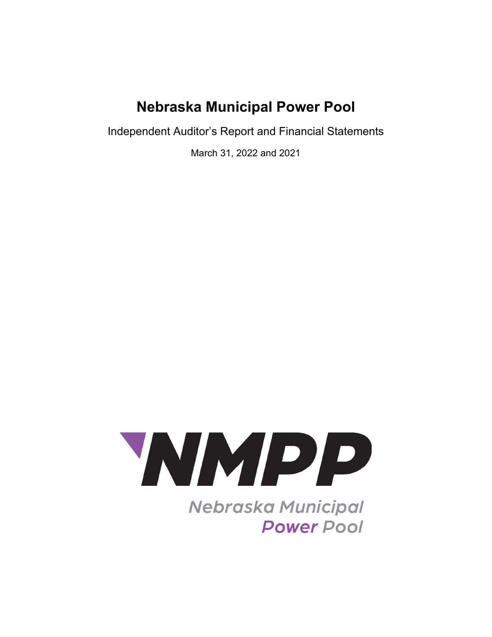Independent Auditor's Report and Financial Statements

March 31, 2022 and 2021

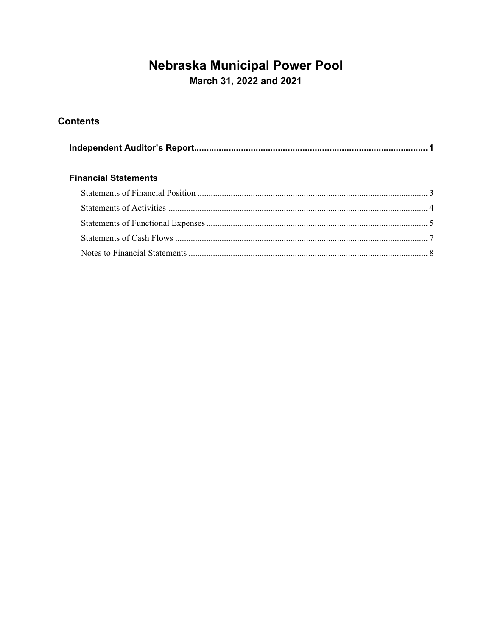# Nebraska Municipal Power Pool March 31, 2022 and 2021

### **Contents**

| <b>Financial Statements</b> |  |
|-----------------------------|--|
|                             |  |
|                             |  |
|                             |  |
|                             |  |
|                             |  |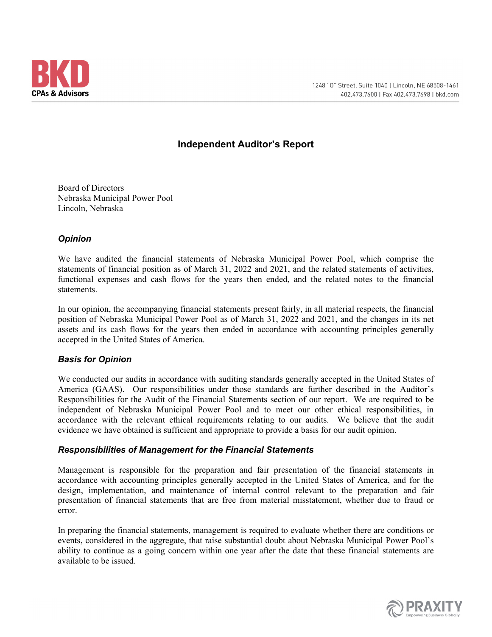

#### **Independent Auditor's Report**

Board of Directors Nebraska Municipal Power Pool Lincoln, Nebraska

#### *Opinion*

We have audited the financial statements of Nebraska Municipal Power Pool, which comprise the statements of financial position as of March 31, 2022 and 2021, and the related statements of activities, functional expenses and cash flows for the years then ended, and the related notes to the financial statements.

In our opinion, the accompanying financial statements present fairly, in all material respects, the financial position of Nebraska Municipal Power Pool as of March 31, 2022 and 2021, and the changes in its net assets and its cash flows for the years then ended in accordance with accounting principles generally accepted in the United States of America.

#### *Basis for Opinion*

We conducted our audits in accordance with auditing standards generally accepted in the United States of America (GAAS). Our responsibilities under those standards are further described in the Auditor's Responsibilities for the Audit of the Financial Statements section of our report. We are required to be independent of Nebraska Municipal Power Pool and to meet our other ethical responsibilities, in accordance with the relevant ethical requirements relating to our audits. We believe that the audit evidence we have obtained is sufficient and appropriate to provide a basis for our audit opinion.

#### *Responsibilities of Management for the Financial Statements*

Management is responsible for the preparation and fair presentation of the financial statements in accordance with accounting principles generally accepted in the United States of America, and for the design, implementation, and maintenance of internal control relevant to the preparation and fair presentation of financial statements that are free from material misstatement, whether due to fraud or error.

In preparing the financial statements, management is required to evaluate whether there are conditions or events, considered in the aggregate, that raise substantial doubt about Nebraska Municipal Power Pool's ability to continue as a going concern within one year after the date that these financial statements are available to be issued.

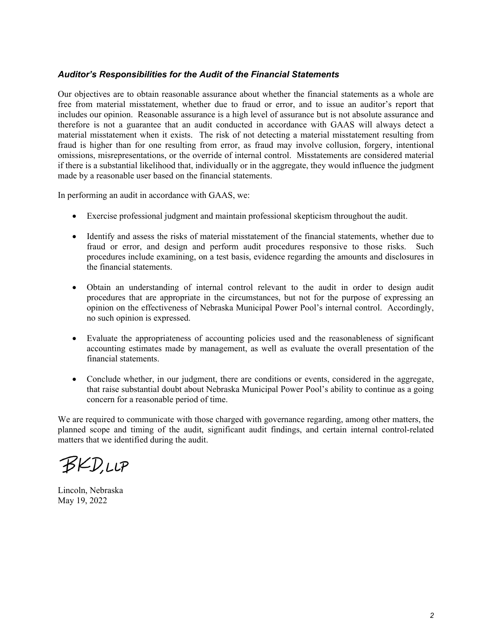#### *Auditor's Responsibilities for the Audit of the Financial Statements*

Our objectives are to obtain reasonable assurance about whether the financial statements as a whole are free from material misstatement, whether due to fraud or error, and to issue an auditor's report that includes our opinion. Reasonable assurance is a high level of assurance but is not absolute assurance and therefore is not a guarantee that an audit conducted in accordance with GAAS will always detect a material misstatement when it exists. The risk of not detecting a material misstatement resulting from fraud is higher than for one resulting from error, as fraud may involve collusion, forgery, intentional omissions, misrepresentations, or the override of internal control. Misstatements are considered material if there is a substantial likelihood that, individually or in the aggregate, they would influence the judgment made by a reasonable user based on the financial statements.

In performing an audit in accordance with GAAS, we:

- Exercise professional judgment and maintain professional skepticism throughout the audit.
- Identify and assess the risks of material misstatement of the financial statements, whether due to fraud or error, and design and perform audit procedures responsive to those risks. Such procedures include examining, on a test basis, evidence regarding the amounts and disclosures in the financial statements.
- Obtain an understanding of internal control relevant to the audit in order to design audit procedures that are appropriate in the circumstances, but not for the purpose of expressing an opinion on the effectiveness of Nebraska Municipal Power Pool's internal control. Accordingly, no such opinion is expressed.
- Evaluate the appropriateness of accounting policies used and the reasonableness of significant accounting estimates made by management, as well as evaluate the overall presentation of the financial statements.
- Conclude whether, in our judgment, there are conditions or events, considered in the aggregate, that raise substantial doubt about Nebraska Municipal Power Pool's ability to continue as a going concern for a reasonable period of time.

We are required to communicate with those charged with governance regarding, among other matters, the planned scope and timing of the audit, significant audit findings, and certain internal control-related matters that we identified during the audit.

BKD.LLP

Lincoln, Nebraska May 19, 2022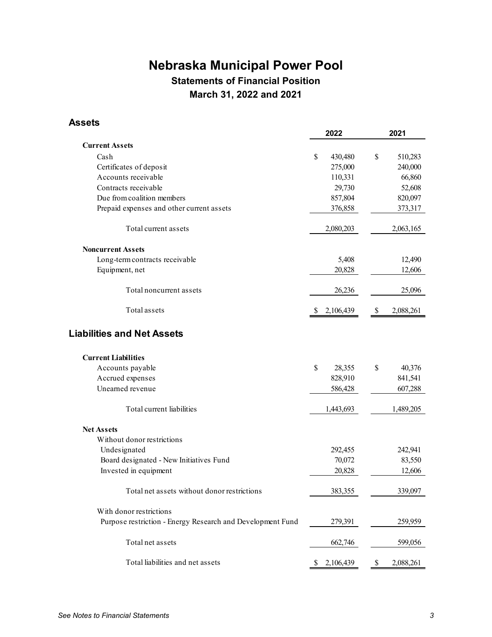### **Statements of Financial Position March 31, 2022 and 2021**

#### **Assets**

|                                                            | 2022            | 2021            |
|------------------------------------------------------------|-----------------|-----------------|
| <b>Current Assets</b>                                      |                 |                 |
| Cash                                                       | \$<br>430,480   | 510,283<br>\$   |
| Certificates of deposit                                    | 275,000         | 240,000         |
| Accounts receivable                                        | 110,331         | 66,860          |
| Contracts receivable                                       | 29,730          | 52,608          |
| Due from coalition members                                 | 857,804         | 820,097         |
| Prepaid expenses and other current assets                  | 376,858         | 373,317         |
| Total current assets                                       | 2,080,203       | 2,063,165       |
| <b>Noncurrent Assets</b>                                   |                 |                 |
| Long-term contracts receivable                             | 5,408           | 12,490          |
| Equipment, net                                             | 20,828          | 12,606          |
| Total noncurrent assets                                    | 26,236          | 25,096          |
| Total assets                                               | 2,106,439<br>Y. | 2,088,261<br>\$ |
| <b>Liabilities and Net Assets</b>                          |                 |                 |
| <b>Current Liabilities</b>                                 |                 |                 |
| Accounts payable                                           | \$<br>28,355    | \$<br>40,376    |
| Accrued expenses                                           | 828,910         | 841,541         |
| Unearned revenue                                           | 586,428         | 607,288         |
| Total current liabilities                                  | 1,443,693       | 1,489,205       |
| <b>Net Assets</b>                                          |                 |                 |
| Without donor restrictions                                 |                 |                 |
| Undesignated                                               | 292,455         | 242,941         |
| Board designated - New Initiatives Fund                    | 70,072          | 83,550          |
| Invested in equipment                                      | 20,828          | 12,606          |
| Total net assets without donor restrictions                | 383,355         | 339,097         |
| With donor restrictions                                    |                 |                 |
| Purpose restriction - Energy Research and Development Fund | 279,391         | 259,959         |
| Total net assets                                           | 662,746         | 599,056         |
| Total liabilities and net assets                           | 2,106,439<br>\$ | \$<br>2,088,261 |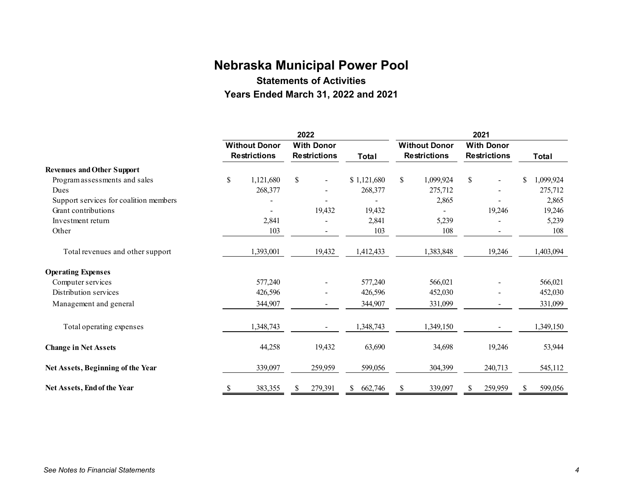### **Statements of Activities Years Ended March 31, 2022 and 2021**

|                                        | 2022                 |    |                     |              |                      | 2021      |                     |                   |       |           |  |  |
|----------------------------------------|----------------------|----|---------------------|--------------|----------------------|-----------|---------------------|-------------------|-------|-----------|--|--|
|                                        | <b>Without Donor</b> |    | <b>With Donor</b>   |              | <b>Without Donor</b> |           |                     | <b>With Donor</b> |       |           |  |  |
|                                        | <b>Restrictions</b>  |    | <b>Restrictions</b> | <b>Total</b> | <b>Restrictions</b>  |           | <b>Restrictions</b> |                   | Total |           |  |  |
| <b>Revenues and Other Support</b>      |                      |    |                     |              |                      |           |                     |                   |       |           |  |  |
| Program assessments and sales          | \$<br>1,121,680      | \$ | $\blacksquare$      | \$1,121,680  | \$                   | 1,099,924 | $\mathbb{S}$        |                   | \$    | 1,099,924 |  |  |
| Dues                                   | 268,377              |    |                     | 268,377      |                      | 275,712   |                     |                   |       | 275,712   |  |  |
| Support services for coalition members |                      |    |                     |              |                      | 2,865     |                     |                   |       | 2,865     |  |  |
| Grant contributions                    |                      |    | 19,432              | 19,432       |                      |           |                     | 19,246            |       | 19,246    |  |  |
| Investment return                      | 2,841                |    |                     | 2,841        |                      | 5,239     |                     |                   |       | 5,239     |  |  |
| Other                                  | 103                  |    | $\blacksquare$      | 103          |                      | 108       |                     |                   |       | 108       |  |  |
| Total revenues and other support       | 1,393,001            |    | 19,432              | 1,412,433    |                      | 1,383,848 |                     | 19,246            |       | 1,403,094 |  |  |
| <b>Operating Expenses</b>              |                      |    |                     |              |                      |           |                     |                   |       |           |  |  |
| Computer services                      | 577,240              |    |                     | 577,240      |                      | 566,021   |                     |                   |       | 566,021   |  |  |
| Distribution services                  | 426,596              |    |                     | 426,596      |                      | 452,030   |                     |                   |       | 452,030   |  |  |
| Management and general                 | 344,907              |    |                     | 344,907      |                      | 331,099   |                     |                   |       | 331,099   |  |  |
| Total operating expenses               | 1,348,743            |    |                     | 1,348,743    |                      | 1,349,150 |                     |                   |       | 1,349,150 |  |  |
| <b>Change in Net Assets</b>            | 44,258               |    | 19,432              | 63,690       |                      | 34,698    |                     | 19,246            |       | 53,944    |  |  |
| Net Assets, Beginning of the Year      | 339,097              |    | 259,959             | 599,056      |                      | 304,399   |                     | 240,713           |       | 545,112   |  |  |
| Net Assets, End of the Year            | \$<br>383,355        |    | 279,391             | 662,746      | \$                   | 339,097   |                     | 259,959           |       | 599,056   |  |  |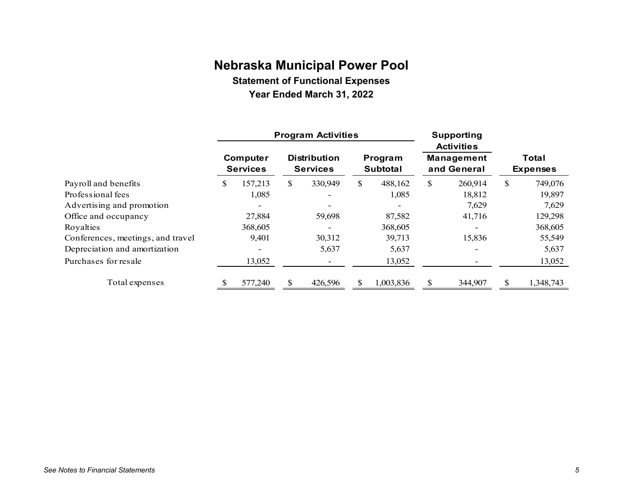**Statement of Functional Expenses Year Ended March 31, 2022** 

|                                   | <b>Program Activities</b> |                             |     |                                        |    | <b>Supporting</b>          |     |                                                       |                                 |
|-----------------------------------|---------------------------|-----------------------------|-----|----------------------------------------|----|----------------------------|-----|-------------------------------------------------------|---------------------------------|
|                                   |                           | Computer<br><b>Services</b> |     | <b>Distribution</b><br><b>Services</b> |    | Program<br><b>Subtotal</b> |     | <b>Activities</b><br><b>Management</b><br>and General | <b>Total</b><br><b>Expenses</b> |
| Payroll and benefits              | S.                        | 157,213                     | \$. | 330,949                                | \$ | 488,162                    | \$  | 260,914                                               | \$<br>749,076                   |
| Professional fees                 |                           | 1,085                       |     |                                        |    | 1,085                      |     | 18,812                                                | 19,897                          |
| Advertising and promotion         |                           |                             |     |                                        |    |                            |     | 7,629                                                 | 7,629                           |
| Office and occupancy              |                           | 27,884                      |     | 59,698                                 |    | 87,582                     |     | 41,716                                                | 129,298                         |
| Royalties                         |                           | 368,605                     |     |                                        |    | 368,605                    |     |                                                       | 368,605                         |
| Conferences, meetings, and travel |                           | 9,401                       |     | 30,312                                 |    | 39,713                     |     | 15,836                                                | 55,549                          |
| Depreciation and amortization     |                           |                             |     | 5,637                                  |    | 5,637                      |     |                                                       | 5,637                           |
| Purchases for resale              |                           | 13,052                      |     |                                        |    | 13,052                     |     |                                                       | 13,052                          |
| Total expenses                    |                           | 577,240                     |     | 426,596                                |    | 1,003,836                  | \$. | 344,907                                               | 1,348,743                       |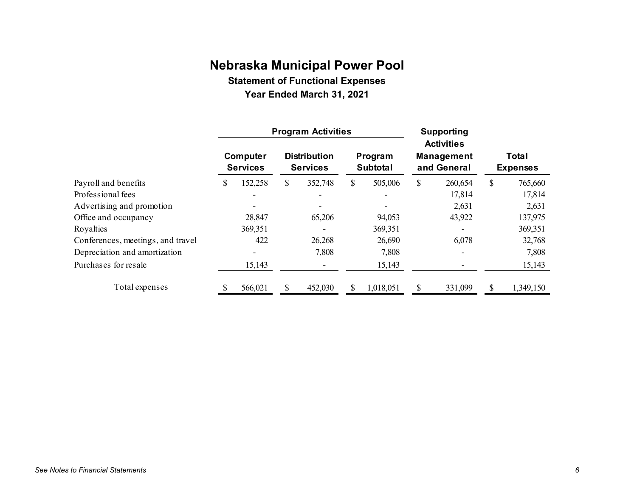**Statement of Functional Expenses Year Ended March 31, 2021** 

|                                   | <b>Program Activities</b> |                             |    |                                        |    | Supporting          |    |                                                       |                                 |
|-----------------------------------|---------------------------|-----------------------------|----|----------------------------------------|----|---------------------|----|-------------------------------------------------------|---------------------------------|
|                                   |                           | Computer<br><b>Services</b> |    | <b>Distribution</b><br><b>Services</b> |    | Program<br>Subtotal |    | <b>Activities</b><br><b>Management</b><br>and General | <b>Total</b><br><b>Expenses</b> |
| Payroll and benefits              | S                         | 152,258                     | \$ | 352,748                                | S. | 505,006             | \$ | 260,654                                               | \$<br>765,660                   |
| Professional fees                 |                           | ٠                           |    |                                        |    | -                   |    | 17,814                                                | 17,814                          |
| Advertising and promotion         |                           |                             |    |                                        |    |                     |    | 2,631                                                 | 2,631                           |
| Office and occupancy              |                           | 28,847                      |    | 65,206                                 |    | 94,053              |    | 43,922                                                | 137,975                         |
| Royalties                         |                           | 369,351                     |    |                                        |    | 369,351             |    |                                                       | 369,351                         |
| Conferences, meetings, and travel |                           | 422                         |    | 26,268                                 |    | 26,690              |    | 6,078                                                 | 32,768                          |
| Depreciation and amortization     |                           | $\overline{\phantom{a}}$    |    | 7,808                                  |    | 7,808               |    |                                                       | 7,808                           |
| Purchases for resale              |                           | 15,143                      |    |                                        |    | 15,143              |    |                                                       | 15,143                          |
| Total expenses                    |                           | 566,021                     |    | 452,030                                |    | 1,018,051           | \$ | 331,099                                               | 1,349,150                       |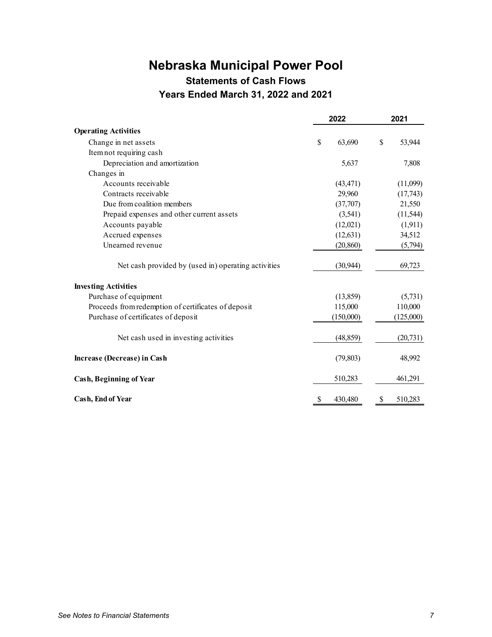### **Statements of Cash Flows Years Ended March 31, 2022 and 2021**

|                                                     | 2022          | 2021          |
|-----------------------------------------------------|---------------|---------------|
| <b>Operating Activities</b>                         |               |               |
| Change in net assets                                | \$<br>63,690  | \$<br>53,944  |
| Item not requiring cash                             |               |               |
| Depreciation and amortization                       | 5,637         | 7,808         |
| Changes in                                          |               |               |
| Accounts receivable                                 | (43, 471)     | (11,099)      |
| Contracts receivable                                | 29,960        | (17,743)      |
| Due from coalition members                          | (37,707)      | 21,550        |
| Prepaid expenses and other current assets           | (3,541)       | (11, 544)     |
| Accounts payable                                    | (12,021)      | (1, 911)      |
| Accrued expenses                                    | (12, 631)     | 34,512        |
| Unearned revenue                                    | (20, 860)     | (5,794)       |
| Net cash provided by (used in) operating activities | (30, 944)     | 69,723        |
| <b>Investing Activities</b>                         |               |               |
| Purchase of equipment                               | (13,859)      | (5,731)       |
| Proceeds from redemption of certificates of deposit | 115,000       | 110,000       |
| Purchase of certificates of deposit                 | (150,000)     | (125,000)     |
| Net cash used in investing activities               | (48, 859)     | (20, 731)     |
| Increase (Decrease) in Cash                         | (79, 803)     | 48,992        |
| <b>Cash, Beginning of Year</b>                      | 510,283       | 461,291       |
| Cash, End of Year                                   | \$<br>430,480 | \$<br>510,283 |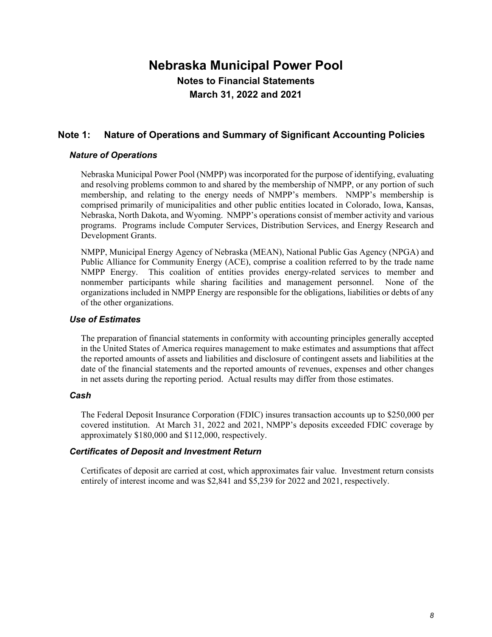#### **Note 1: Nature of Operations and Summary of Significant Accounting Policies**

#### *Nature of Operations*

Nebraska Municipal Power Pool (NMPP) was incorporated for the purpose of identifying, evaluating and resolving problems common to and shared by the membership of NMPP, or any portion of such membership, and relating to the energy needs of NMPP's members. NMPP's membership is comprised primarily of municipalities and other public entities located in Colorado, Iowa, Kansas, Nebraska, North Dakota, and Wyoming. NMPP's operations consist of member activity and various programs. Programs include Computer Services, Distribution Services, and Energy Research and Development Grants.

NMPP, Municipal Energy Agency of Nebraska (MEAN), National Public Gas Agency (NPGA) and Public Alliance for Community Energy (ACE), comprise a coalition referred to by the trade name NMPP Energy. This coalition of entities provides energy-related services to member and nonmember participants while sharing facilities and management personnel. None of the organizations included in NMPP Energy are responsible for the obligations, liabilities or debts of any of the other organizations.

#### *Use of Estimates*

The preparation of financial statements in conformity with accounting principles generally accepted in the United States of America requires management to make estimates and assumptions that affect the reported amounts of assets and liabilities and disclosure of contingent assets and liabilities at the date of the financial statements and the reported amounts of revenues, expenses and other changes in net assets during the reporting period. Actual results may differ from those estimates.

#### *Cash*

The Federal Deposit Insurance Corporation (FDIC) insures transaction accounts up to \$250,000 per covered institution. At March 31, 2022 and 2021, NMPP's deposits exceeded FDIC coverage by approximately \$180,000 and \$112,000, respectively.

#### *Certificates of Deposit and Investment Return*

Certificates of deposit are carried at cost, which approximates fair value. Investment return consists entirely of interest income and was \$2,841 and \$5,239 for 2022 and 2021, respectively.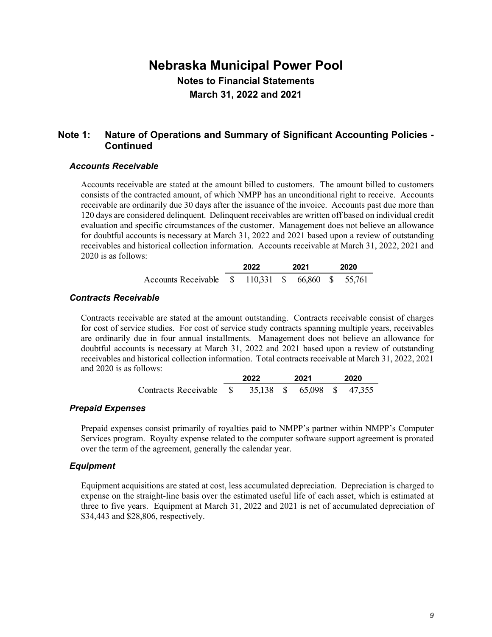#### **Note 1: Nature of Operations and Summary of Significant Accounting Policies - Continued**

#### *Accounts Receivable*

Accounts receivable are stated at the amount billed to customers. The amount billed to customers consists of the contracted amount, of which NMPP has an unconditional right to receive. Accounts receivable are ordinarily due 30 days after the issuance of the invoice. Accounts past due more than 120 days are considered delinquent. Delinquent receivables are written off based on individual credit evaluation and specific circumstances of the customer. Management does not believe an allowance for doubtful accounts is necessary at March 31, 2022 and 2021 based upon a review of outstanding receivables and historical collection information. Accounts receivable at March 31, 2022, 2021 and 2020 is as follows:

|                                                    | 2022 | 2021 | 2020 |
|----------------------------------------------------|------|------|------|
| Accounts Receivable \$ 110,331 \$ 66,860 \$ 55,761 |      |      |      |

#### *Contracts Receivable*

Contracts receivable are stated at the amount outstanding. Contracts receivable consist of charges for cost of service studies. For cost of service study contracts spanning multiple years, receivables are ordinarily due in four annual installments. Management does not believe an allowance for doubtful accounts is necessary at March 31, 2022 and 2021 based upon a review of outstanding receivables and historical collection information. Total contracts receivable at March 31, 2022, 2021 and 2020 is as follows:

|                                                    | 2022 | 2021 | 2020 |
|----------------------------------------------------|------|------|------|
| Contracts Receivable \$ 35,138 \$ 65,098 \$ 47,355 |      |      |      |

#### *Prepaid Expenses*

Prepaid expenses consist primarily of royalties paid to NMPP's partner within NMPP's Computer Services program. Royalty expense related to the computer software support agreement is prorated over the term of the agreement, generally the calendar year.

#### *Equipment*

Equipment acquisitions are stated at cost, less accumulated depreciation. Depreciation is charged to expense on the straight-line basis over the estimated useful life of each asset, which is estimated at three to five years. Equipment at March 31, 2022 and 2021 is net of accumulated depreciation of \$34,443 and \$28,806, respectively.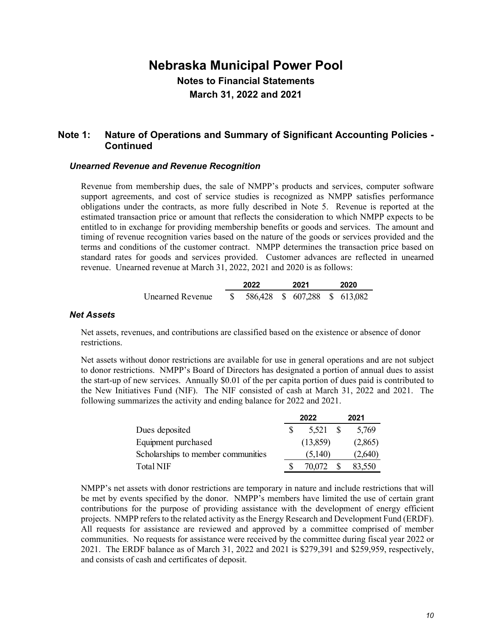#### **Note 1: Nature of Operations and Summary of Significant Accounting Policies - Continued**

#### *Unearned Revenue and Revenue Recognition*

Revenue from membership dues, the sale of NMPP's products and services, computer software support agreements, and cost of service studies is recognized as NMPP satisfies performance obligations under the contracts, as more fully described in Note 5. Revenue is reported at the estimated transaction price or amount that reflects the consideration to which NMPP expects to be entitled to in exchange for providing membership benefits or goods and services. The amount and timing of revenue recognition varies based on the nature of the goods or services provided and the terms and conditions of the customer contract. NMPP determines the transaction price based on standard rates for goods and services provided. Customer advances are reflected in unearned revenue. Unearned revenue at March 31, 2022, 2021 and 2020 is as follows:

|                  | 2022                          | 2021 | 2020 |
|------------------|-------------------------------|------|------|
| Unearned Revenue | \$586,428\$5607,288\$5613,082 |      |      |

#### *Net Assets*

Net assets, revenues, and contributions are classified based on the existence or absence of donor restrictions.

Net assets without donor restrictions are available for use in general operations and are not subject to donor restrictions. NMPP's Board of Directors has designated a portion of annual dues to assist the start-up of new services. Annually \$0.01 of the per capita portion of dues paid is contributed to the New Initiatives Fund (NIF). The NIF consisted of cash at March 31, 2022 and 2021. The following summarizes the activity and ending balance for 2022 and 2021.

|                                    | 2022     | 2021    |
|------------------------------------|----------|---------|
| Dues deposited                     | 5,521    | 5.769   |
| Equipment purchased                | (13,859) | (2,865) |
| Scholarships to member communities | (5,140)  | (2,640) |
| Total NIF                          | 70.072   | 83,550  |

NMPP's net assets with donor restrictions are temporary in nature and include restrictions that will be met by events specified by the donor. NMPP's members have limited the use of certain grant contributions for the purpose of providing assistance with the development of energy efficient projects. NMPP refers to the related activity as the Energy Research and Development Fund (ERDF). All requests for assistance are reviewed and approved by a committee comprised of member communities. No requests for assistance were received by the committee during fiscal year 2022 or 2021. The ERDF balance as of March 31, 2022 and 2021 is \$279,391 and \$259,959, respectively, and consists of cash and certificates of deposit.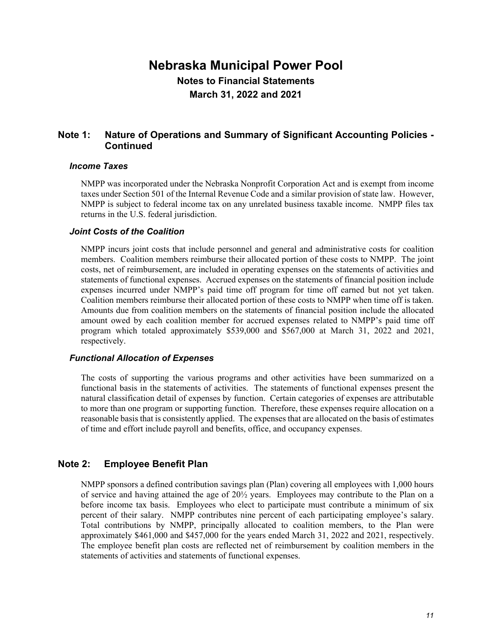#### **Note 1: Nature of Operations and Summary of Significant Accounting Policies - Continued**

#### *Income Taxes*

NMPP was incorporated under the Nebraska Nonprofit Corporation Act and is exempt from income taxes under Section 501 of the Internal Revenue Code and a similar provision of state law. However, NMPP is subject to federal income tax on any unrelated business taxable income. NMPP files tax returns in the U.S. federal jurisdiction.

#### *Joint Costs of the Coalition*

NMPP incurs joint costs that include personnel and general and administrative costs for coalition members. Coalition members reimburse their allocated portion of these costs to NMPP. The joint costs, net of reimbursement, are included in operating expenses on the statements of activities and statements of functional expenses. Accrued expenses on the statements of financial position include expenses incurred under NMPP's paid time off program for time off earned but not yet taken. Coalition members reimburse their allocated portion of these costs to NMPP when time off is taken. Amounts due from coalition members on the statements of financial position include the allocated amount owed by each coalition member for accrued expenses related to NMPP's paid time off program which totaled approximately \$539,000 and \$567,000 at March 31, 2022 and 2021, respectively.

#### *Functional Allocation of Expenses*

The costs of supporting the various programs and other activities have been summarized on a functional basis in the statements of activities. The statements of functional expenses present the natural classification detail of expenses by function. Certain categories of expenses are attributable to more than one program or supporting function. Therefore, these expenses require allocation on a reasonable basis that is consistently applied. The expenses that are allocated on the basis of estimates of time and effort include payroll and benefits, office, and occupancy expenses.

#### **Note 2: Employee Benefit Plan**

NMPP sponsors a defined contribution savings plan (Plan) covering all employees with 1,000 hours of service and having attained the age of  $20\frac{1}{2}$  years. Employees may contribute to the Plan on a before income tax basis. Employees who elect to participate must contribute a minimum of six percent of their salary. NMPP contributes nine percent of each participating employee's salary. Total contributions by NMPP, principally allocated to coalition members, to the Plan were approximately \$461,000 and \$457,000 for the years ended March 31, 2022 and 2021, respectively. The employee benefit plan costs are reflected net of reimbursement by coalition members in the statements of activities and statements of functional expenses.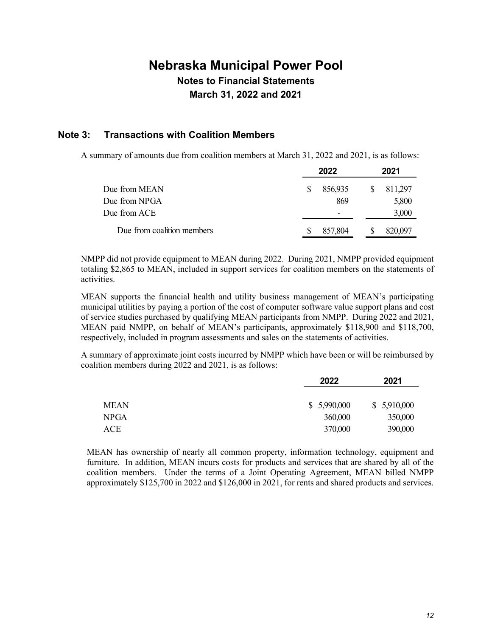#### **Note 3: Transactions with Coalition Members**

A summary of amounts due from coalition members at March 31, 2022 and 2021, is as follows:

|                            | 2022    | 2021    |
|----------------------------|---------|---------|
| Due from MEAN              | 856,935 | 811,297 |
| Due from NPGA              | 869     | 5,800   |
| Due from ACE               |         | 3,000   |
| Due from coalition members | 857,804 | 820,097 |

NMPP did not provide equipment to MEAN during 2022. During 2021, NMPP provided equipment totaling \$2,865 to MEAN, included in support services for coalition members on the statements of activities.

MEAN supports the financial health and utility business management of MEAN's participating municipal utilities by paying a portion of the cost of computer software value support plans and cost of service studies purchased by qualifying MEAN participants from NMPP. During 2022 and 2021, MEAN paid NMPP, on behalf of MEAN's participants, approximately \$118,900 and \$118,700, respectively, included in program assessments and sales on the statements of activities.

A summary of approximate joint costs incurred by NMPP which have been or will be reimbursed by coalition members during 2022 and 2021, is as follows:

|             | 2022        | 2021        |
|-------------|-------------|-------------|
| <b>MEAN</b> | \$5,990,000 | \$5,910,000 |
| <b>NPGA</b> | 360,000     | 350,000     |
| ACE         | 370,000     | 390,000     |

MEAN has ownership of nearly all common property, information technology, equipment and furniture. In addition, MEAN incurs costs for products and services that are shared by all of the coalition members. Under the terms of a Joint Operating Agreement, MEAN billed NMPP approximately \$125,700 in 2022 and \$126,000 in 2021, for rents and shared products and services.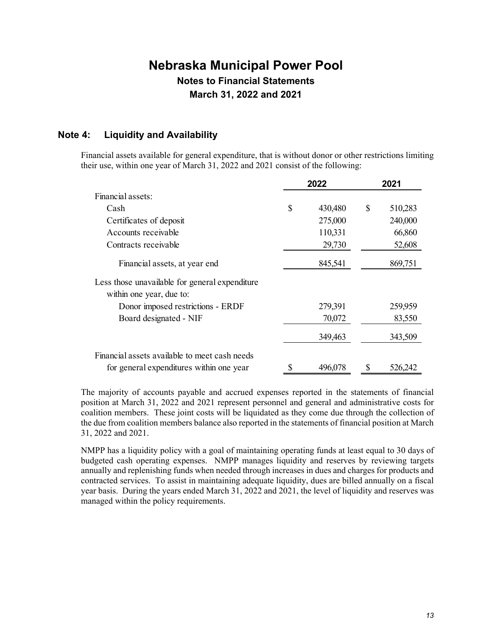#### **Note 4: Liquidity and Availability**

Financial assets available for general expenditure, that is without donor or other restrictions limiting their use, within one year of March 31, 2022 and 2021 consist of the following:

|                                                | 2022 |         | 2021 |         |
|------------------------------------------------|------|---------|------|---------|
| Financial assets:                              |      |         |      |         |
| Cash                                           | \$   | 430,480 | \$   | 510,283 |
| Certificates of deposit                        |      | 275,000 |      | 240,000 |
| Accounts receivable                            |      | 110,331 |      | 66,860  |
| Contracts receivable                           |      | 29,730  |      | 52,608  |
| Financial assets, at year end                  |      | 845,541 |      | 869,751 |
| Less those unavailable for general expenditure |      |         |      |         |
| within one year, due to:                       |      |         |      |         |
| Donor imposed restrictions - ERDF              |      | 279,391 |      | 259,959 |
| Board designated - NIF                         |      | 70,072  |      | 83,550  |
|                                                |      | 349,463 |      | 343,509 |
| Financial assets available to meet cash needs  |      |         |      |         |
| for general expenditures within one year       | \$   | 496,078 | \$   | 526,242 |

The majority of accounts payable and accrued expenses reported in the statements of financial position at March 31, 2022 and 2021 represent personnel and general and administrative costs for coalition members. These joint costs will be liquidated as they come due through the collection of the due from coalition members balance also reported in the statements of financial position at March 31, 2022 and 2021.

NMPP has a liquidity policy with a goal of maintaining operating funds at least equal to 30 days of budgeted cash operating expenses. NMPP manages liquidity and reserves by reviewing targets annually and replenishing funds when needed through increases in dues and charges for products and contracted services. To assist in maintaining adequate liquidity, dues are billed annually on a fiscal year basis. During the years ended March 31, 2022 and 2021, the level of liquidity and reserves was managed within the policy requirements.